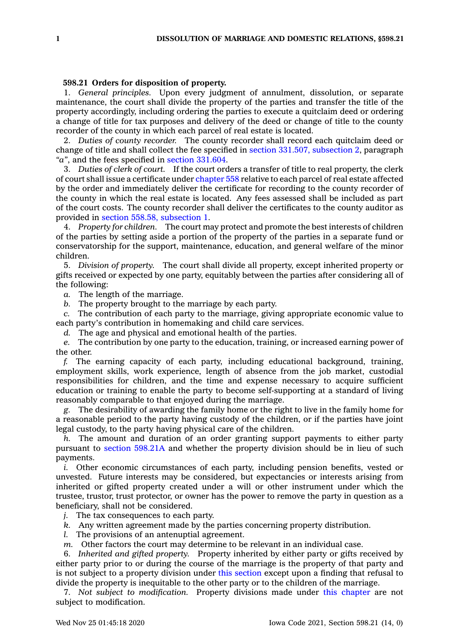## **598.21 Orders for disposition of property.**

1. *General principles.* Upon every judgment of annulment, dissolution, or separate maintenance, the court shall divide the property of the parties and transfer the title of the property accordingly, including ordering the parties to execute <sup>a</sup> quitclaim deed or ordering <sup>a</sup> change of title for tax purposes and delivery of the deed or change of title to the county recorder of the county in which each parcel of real estate is located.

2. *Duties of county recorder.* The county recorder shall record each quitclaim deed or change of title and shall collect the fee specified in section 331.507, [subsection](https://www.legis.iowa.gov/docs/code/331.507.pdf) 2, paragraph *"a"*, and the fees specified in section [331.604](https://www.legis.iowa.gov/docs/code/331.604.pdf).

3. *Duties of clerk of court.* If the court orders <sup>a</sup> transfer of title to real property, the clerk of court shall issue <sup>a</sup> certificate under [chapter](https://www.legis.iowa.gov/docs/code//558.pdf) 558 relative to each parcel of real estate affected by the order and immediately deliver the certificate for recording to the county recorder of the county in which the real estate is located. Any fees assessed shall be included as part of the court costs. The county recorder shall deliver the certificates to the county auditor as provided in section 558.58, [subsection](https://www.legis.iowa.gov/docs/code/558.58.pdf) 1.

4. *Property for children.* The court may protect and promote the best interests of children of the parties by setting aside <sup>a</sup> portion of the property of the parties in <sup>a</sup> separate fund or conservatorship for the support, maintenance, education, and general welfare of the minor children.

5. *Division of property.* The court shall divide all property, except inherited property or gifts received or expected by one party, equitably between the parties after considering all of the following:

*a.* The length of the marriage.

*b.* The property brought to the marriage by each party.

*c.* The contribution of each party to the marriage, giving appropriate economic value to each party's contribution in homemaking and child care services.

*d.* The age and physical and emotional health of the parties.

*e.* The contribution by one party to the education, training, or increased earning power of the other.

*f.* The earning capacity of each party, including educational background, training, employment skills, work experience, length of absence from the job market, custodial responsibilities for children, and the time and expense necessary to acquire sufficient education or training to enable the party to become self-supporting at <sup>a</sup> standard of living reasonably comparable to that enjoyed during the marriage.

*g.* The desirability of awarding the family home or the right to live in the family home for <sup>a</sup> reasonable period to the party having custody of the children, or if the parties have joint legal custody, to the party having physical care of the children.

*h.* The amount and duration of an order granting support payments to either party pursuant to section [598.21A](https://www.legis.iowa.gov/docs/code/598.21A.pdf) and whether the property division should be in lieu of such payments.

*i.* Other economic circumstances of each party, including pension benefits, vested or unvested. Future interests may be considered, but expectancies or interests arising from inherited or gifted property created under <sup>a</sup> will or other instrument under which the trustee, trustor, trust protector, or owner has the power to remove the party in question as <sup>a</sup> beneficiary, shall not be considered.

*j.* The tax consequences to each party.

- *k.* Any written agreement made by the parties concerning property distribution.
- *l.* The provisions of an antenuptial agreement.

*m.* Other factors the court may determine to be relevant in an individual case.

6. *Inherited and gifted property.* Property inherited by either party or gifts received by either party prior to or during the course of the marriage is the property of that party and is not subject to <sup>a</sup> property division under this [section](https://www.legis.iowa.gov/docs/code/598.21.pdf) except upon <sup>a</sup> finding that refusal to divide the property is inequitable to the other party or to the children of the marriage.

7. *Not subject to modification.* Property divisions made under this [chapter](https://www.legis.iowa.gov/docs/code//598.pdf) are not subject to modification.